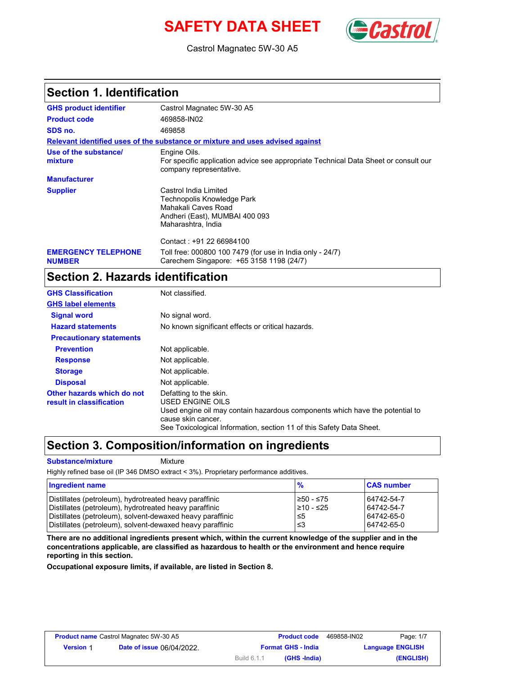# **SAFETY DATA SHEET** (Cast



Castrol Magnatec 5W-30 A5

### **Section 1. Identification**

| <b>GHS product identifier</b>               | Castrol Magnatec 5W-30 A5                                                                                                          |
|---------------------------------------------|------------------------------------------------------------------------------------------------------------------------------------|
| <b>Product code</b>                         | 469858-IN02                                                                                                                        |
| SDS no.                                     | 469858                                                                                                                             |
|                                             | Relevant identified uses of the substance or mixture and uses advised against                                                      |
| Use of the substance/<br>mixture            | Engine Oils.<br>For specific application advice see appropriate Technical Data Sheet or consult our<br>company representative.     |
| <b>Manufacturer</b>                         |                                                                                                                                    |
| <b>Supplier</b>                             | Castrol India Limited<br>Technopolis Knowledge Park<br>Mahakali Caves Road<br>Andheri (East), MUMBAI 400 093<br>Maharashtra, India |
|                                             | Contact: +91 22 66984100                                                                                                           |
| <b>EMERGENCY TELEPHONE</b><br><b>NUMBER</b> | Toll free: 000800 100 7479 (for use in India only - 24/7)<br>Carechem Singapore: +65 3158 1198 (24/7)                              |

## **Section 2. Hazards identification**

| <b>GHS Classification</b>                              | Not classified.                                                                                                                                                                                                          |
|--------------------------------------------------------|--------------------------------------------------------------------------------------------------------------------------------------------------------------------------------------------------------------------------|
| <b>GHS label elements</b>                              |                                                                                                                                                                                                                          |
| <b>Signal word</b>                                     | No signal word.                                                                                                                                                                                                          |
| <b>Hazard statements</b>                               | No known significant effects or critical hazards.                                                                                                                                                                        |
| <b>Precautionary statements</b>                        |                                                                                                                                                                                                                          |
| <b>Prevention</b>                                      | Not applicable.                                                                                                                                                                                                          |
| <b>Response</b>                                        | Not applicable.                                                                                                                                                                                                          |
| <b>Storage</b>                                         | Not applicable.                                                                                                                                                                                                          |
| <b>Disposal</b>                                        | Not applicable.                                                                                                                                                                                                          |
| Other hazards which do not<br>result in classification | Defatting to the skin.<br>USED ENGINE OILS<br>Used engine oil may contain hazardous components which have the potential to<br>cause skin cancer.<br>See Toxicological Information, section 11 of this Safety Data Sheet. |

## **Section 3. Composition/information on ingredients**

**Substance/mixture Mixture** 

Highly refined base oil (IP 346 DMSO extract < 3%). Proprietary performance additives.

| Ingredient name                                           | $\frac{9}{6}$   | <b>CAS number</b> |
|-----------------------------------------------------------|-----------------|-------------------|
| Distillates (petroleum), hydrotreated heavy paraffinic    | $≥50 - ≤75$     | 64742-54-7        |
| Distillates (petroleum), hydrotreated heavy paraffinic    | $\geq 10 - 525$ | 64742-54-7        |
| Distillates (petroleum), solvent-dewaxed heavy paraffinic | l≤5             | 64742-65-0        |
| Distillates (petroleum), solvent-dewaxed heavy paraffinic | 1≤3             | 64742-65-0        |

**There are no additional ingredients present which, within the current knowledge of the supplier and in the concentrations applicable, are classified as hazardous to health or the environment and hence require reporting in this section.**

**Occupational exposure limits, if available, are listed in Section 8.**

| <b>Product name</b> Castrol Magnatec 5W-30 A5 |                                  |                           | <b>Product code</b> | 469858-IN02 | Page: 1/7               |
|-----------------------------------------------|----------------------------------|---------------------------|---------------------|-------------|-------------------------|
| <b>Version 1</b>                              | <b>Date of issue 06/04/2022.</b> | <b>Format GHS - India</b> |                     |             | <b>Language ENGLISH</b> |
|                                               |                                  | Build 6.1.1               | (GHS -India)        |             | (ENGLISH)               |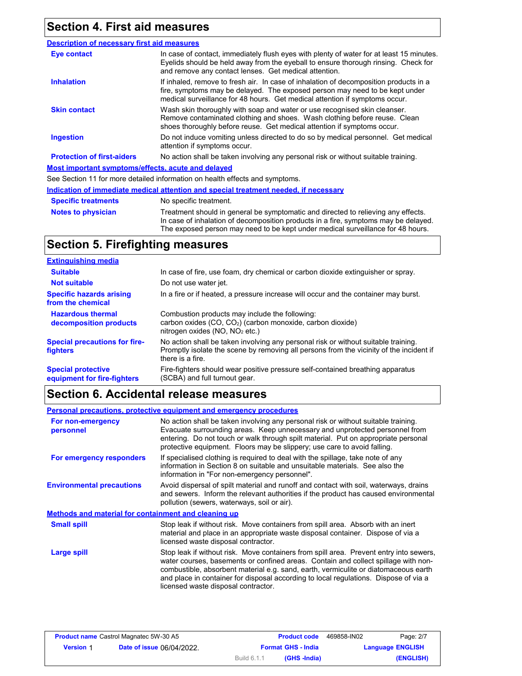# **Section 4. First aid measures**

| <b>Description of necessary first aid measures</b>        |                                                                                                                                                                                                                                                     |  |  |  |
|-----------------------------------------------------------|-----------------------------------------------------------------------------------------------------------------------------------------------------------------------------------------------------------------------------------------------------|--|--|--|
| Eye contact                                               | In case of contact, immediately flush eyes with plenty of water for at least 15 minutes.<br>Eyelids should be held away from the eyeball to ensure thorough rinsing. Check for<br>and remove any contact lenses. Get medical attention.             |  |  |  |
| <b>Inhalation</b>                                         | If inhaled, remove to fresh air. In case of inhalation of decomposition products in a<br>fire, symptoms may be delayed. The exposed person may need to be kept under<br>medical surveillance for 48 hours. Get medical attention if symptoms occur. |  |  |  |
| <b>Skin contact</b>                                       | Wash skin thoroughly with soap and water or use recognised skin cleanser.<br>Remove contaminated clothing and shoes. Wash clothing before reuse. Clean<br>shoes thoroughly before reuse. Get medical attention if symptoms occur.                   |  |  |  |
| Ingestion                                                 | Do not induce vomiting unless directed to do so by medical personnel. Get medical<br>attention if symptoms occur.                                                                                                                                   |  |  |  |
| <b>Protection of first-aiders</b>                         | No action shall be taken involving any personal risk or without suitable training.                                                                                                                                                                  |  |  |  |
| <u>Most important symptoms/effects, acute and delayed</u> |                                                                                                                                                                                                                                                     |  |  |  |
|                                                           | See Section 11 for more detailed information on health effects and symptoms.                                                                                                                                                                        |  |  |  |
|                                                           | Indication of immediate medical attention and special treatment needed, if necessary                                                                                                                                                                |  |  |  |
| <b>Specific treatments</b>                                | No specific treatment.                                                                                                                                                                                                                              |  |  |  |
| <b>Notes to physician</b>                                 | Treatment should in general be symptomatic and directed to relieving any effects.<br>In case of inhalation of decomposition products in a fire, symptoms may be delayed.                                                                            |  |  |  |

The exposed person may need to be kept under medical surveillance for 48 hours.

## **Section 5. Firefighting measures**

| <b>Extinguishing media</b>                               |                                                                                                                                                                                                   |
|----------------------------------------------------------|---------------------------------------------------------------------------------------------------------------------------------------------------------------------------------------------------|
| <b>Suitable</b>                                          | In case of fire, use foam, dry chemical or carbon dioxide extinguisher or spray.                                                                                                                  |
| <b>Not suitable</b>                                      | Do not use water jet.                                                                                                                                                                             |
| <b>Specific hazards arising</b><br>from the chemical     | In a fire or if heated, a pressure increase will occur and the container may burst.                                                                                                               |
| <b>Hazardous thermal</b><br>decomposition products       | Combustion products may include the following:<br>carbon oxides (CO, CO <sub>2</sub> ) (carbon monoxide, carbon dioxide)<br>nitrogen oxides ( $NO$ , $NO2$ etc.)                                  |
| <b>Special precautions for fire-</b><br>fighters         | No action shall be taken involving any personal risk or without suitable training.<br>Promptly isolate the scene by removing all persons from the vicinity of the incident if<br>there is a fire. |
| <b>Special protective</b><br>equipment for fire-fighters | Fire-fighters should wear positive pressure self-contained breathing apparatus<br>(SCBA) and full turnout gear.                                                                                   |

## **Section 6. Accidental release measures**

|                                                             | <b>Personal precautions, protective equipment and emergency procedures</b>                                                                                                                                                                                                                                                                                                                         |
|-------------------------------------------------------------|----------------------------------------------------------------------------------------------------------------------------------------------------------------------------------------------------------------------------------------------------------------------------------------------------------------------------------------------------------------------------------------------------|
| For non-emergency<br>personnel                              | No action shall be taken involving any personal risk or without suitable training.<br>Evacuate surrounding areas. Keep unnecessary and unprotected personnel from<br>entering. Do not touch or walk through spilt material. Put on appropriate personal<br>protective equipment. Floors may be slippery; use care to avoid falling.                                                                |
| For emergency responders                                    | If specialised clothing is required to deal with the spillage, take note of any<br>information in Section 8 on suitable and unsuitable materials. See also the<br>information in "For non-emergency personnel".                                                                                                                                                                                    |
| <b>Environmental precautions</b>                            | Avoid dispersal of spilt material and runoff and contact with soil, waterways, drains<br>and sewers. Inform the relevant authorities if the product has caused environmental<br>pollution (sewers, waterways, soil or air).                                                                                                                                                                        |
| <b>Methods and material for containment and cleaning up</b> |                                                                                                                                                                                                                                                                                                                                                                                                    |
| <b>Small spill</b>                                          | Stop leak if without risk. Move containers from spill area. Absorb with an inert<br>material and place in an appropriate waste disposal container. Dispose of via a<br>licensed waste disposal contractor.                                                                                                                                                                                         |
| Large spill                                                 | Stop leak if without risk. Move containers from spill area. Prevent entry into sewers,<br>water courses, basements or confined areas. Contain and collect spillage with non-<br>combustible, absorbent material e.g. sand, earth, vermiculite or diatomaceous earth<br>and place in container for disposal according to local regulations. Dispose of via a<br>licensed waste disposal contractor. |

| Page: 2/7               | 469858-IN02 | <b>Product code</b>       | <b>Product name</b> Castrol Magnatec 5W-30 A5 |                                  |                  |
|-------------------------|-------------|---------------------------|-----------------------------------------------|----------------------------------|------------------|
| <b>Language ENGLISH</b> |             | <b>Format GHS - India</b> |                                               | <b>Date of issue 06/04/2022.</b> | <b>Version 1</b> |
| (ENGLISH)               |             | (GHS -India)              | Build 6.1.1                                   |                                  |                  |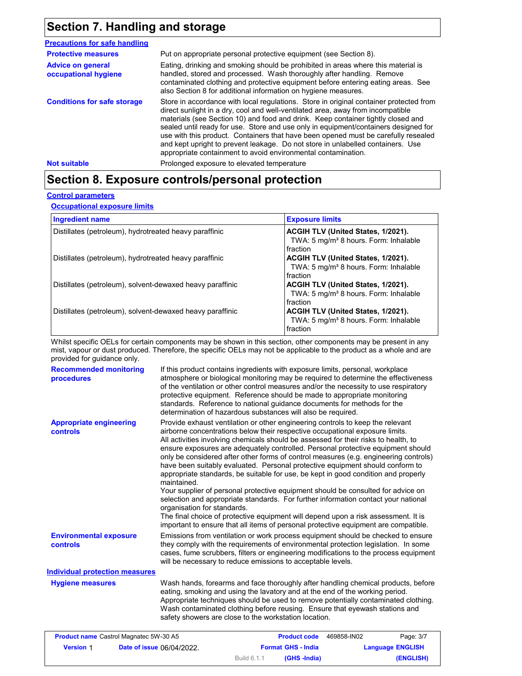# **Section 7. Handling and storage**

| <b>Precautions for safe handling</b>             |                                                                                                                                                                                                                                                                                                                                                                                                                                                                                                                                                                                                |  |  |
|--------------------------------------------------|------------------------------------------------------------------------------------------------------------------------------------------------------------------------------------------------------------------------------------------------------------------------------------------------------------------------------------------------------------------------------------------------------------------------------------------------------------------------------------------------------------------------------------------------------------------------------------------------|--|--|
| <b>Protective measures</b>                       | Put on appropriate personal protective equipment (see Section 8).                                                                                                                                                                                                                                                                                                                                                                                                                                                                                                                              |  |  |
| <b>Advice on general</b><br>occupational hygiene | Eating, drinking and smoking should be prohibited in areas where this material is<br>handled, stored and processed. Wash thoroughly after handling. Remove<br>contaminated clothing and protective equipment before entering eating areas. See<br>also Section 8 for additional information on hygiene measures.                                                                                                                                                                                                                                                                               |  |  |
| <b>Conditions for safe storage</b>               | Store in accordance with local regulations. Store in original container protected from<br>direct sunlight in a dry, cool and well-ventilated area, away from incompatible<br>materials (see Section 10) and food and drink. Keep container tightly closed and<br>sealed until ready for use. Store and use only in equipment/containers designed for<br>use with this product. Containers that have been opened must be carefully resealed<br>and kept upright to prevent leakage. Do not store in unlabelled containers. Use<br>appropriate containment to avoid environmental contamination. |  |  |
| <b>Not suitable</b>                              | Prolonged exposure to elevated temperature                                                                                                                                                                                                                                                                                                                                                                                                                                                                                                                                                     |  |  |

## **Section 8. Exposure controls/personal protection**

### **Control parameters**

**Occupational exposure limits**

| <b>Ingredient name</b>                                    | <b>Exposure limits</b>                                                                              |
|-----------------------------------------------------------|-----------------------------------------------------------------------------------------------------|
| Distillates (petroleum), hydrotreated heavy paraffinic    | ACGIH TLV (United States, 1/2021).<br>TWA: 5 mg/m <sup>3</sup> 8 hours. Form: Inhalable<br>fraction |
| Distillates (petroleum), hydrotreated heavy paraffinic    | ACGIH TLV (United States, 1/2021).<br>TWA: 5 mg/m <sup>3</sup> 8 hours. Form: Inhalable<br>fraction |
| Distillates (petroleum), solvent-dewaxed heavy paraffinic | ACGIH TLV (United States, 1/2021).<br>TWA: 5 mg/m <sup>3</sup> 8 hours. Form: Inhalable<br>fraction |
| Distillates (petroleum), solvent-dewaxed heavy paraffinic | ACGIH TLV (United States, 1/2021).<br>TWA: 5 mg/m <sup>3</sup> 8 hours. Form: Inhalable<br>fraction |

Whilst specific OELs for certain components may be shown in this section, other components may be present in any mist, vapour or dust produced. Therefore, the specific OELs may not be applicable to the product as a whole and are provided for guidance only.

| <b>Recommended monitoring</b><br>procedures | If this product contains ingredients with exposure limits, personal, workplace<br>atmosphere or biological monitoring may be required to determine the effectiveness<br>of the ventilation or other control measures and/or the necessity to use respiratory<br>protective equipment. Reference should be made to appropriate monitoring<br>standards. Reference to national guidance documents for methods for the<br>determination of hazardous substances will also be required.                                                                                                                                                                                                                                                                                                                                                                                                                                                                                                                           |
|---------------------------------------------|---------------------------------------------------------------------------------------------------------------------------------------------------------------------------------------------------------------------------------------------------------------------------------------------------------------------------------------------------------------------------------------------------------------------------------------------------------------------------------------------------------------------------------------------------------------------------------------------------------------------------------------------------------------------------------------------------------------------------------------------------------------------------------------------------------------------------------------------------------------------------------------------------------------------------------------------------------------------------------------------------------------|
| <b>Appropriate engineering</b><br>controls  | Provide exhaust ventilation or other engineering controls to keep the relevant<br>airborne concentrations below their respective occupational exposure limits.<br>All activities involving chemicals should be assessed for their risks to health, to<br>ensure exposures are adequately controlled. Personal protective equipment should<br>only be considered after other forms of control measures (e.g. engineering controls)<br>have been suitably evaluated. Personal protective equipment should conform to<br>appropriate standards, be suitable for use, be kept in good condition and properly<br>maintained.<br>Your supplier of personal protective equipment should be consulted for advice on<br>selection and appropriate standards. For further information contact your national<br>organisation for standards.<br>The final choice of protective equipment will depend upon a risk assessment. It is<br>important to ensure that all items of personal protective equipment are compatible. |
| <b>Environmental exposure</b><br>controls   | Emissions from ventilation or work process equipment should be checked to ensure<br>they comply with the requirements of environmental protection legislation. In some<br>cases, fume scrubbers, filters or engineering modifications to the process equipment<br>will be necessary to reduce emissions to acceptable levels.                                                                                                                                                                                                                                                                                                                                                                                                                                                                                                                                                                                                                                                                                 |
| <b>Individual protection measures</b>       |                                                                                                                                                                                                                                                                                                                                                                                                                                                                                                                                                                                                                                                                                                                                                                                                                                                                                                                                                                                                               |
| <b>Hygiene measures</b>                     | Wash hands, forearms and face thoroughly after handling chemical products, before<br>eating, smoking and using the lavatory and at the end of the working period.<br>Appropriate techniques should be used to remove potentially contaminated clothing.<br>Wash contaminated clothing before reusing. Ensure that eyewash stations and<br>safety showers are close to the workstation location.                                                                                                                                                                                                                                                                                                                                                                                                                                                                                                                                                                                                               |

| <b>Product name</b> Castrol Magnatec 5W-30 A5 |                                  |                           | <b>Product code</b> | 469858-IN02             | Page: 3/7 |
|-----------------------------------------------|----------------------------------|---------------------------|---------------------|-------------------------|-----------|
| <b>Version 1</b>                              | <b>Date of issue 06/04/2022.</b> | <b>Format GHS - India</b> |                     | <b>Language ENGLISH</b> |           |
|                                               |                                  | Build 6.1.1               | (GHS -India)        |                         | (ENGLISH) |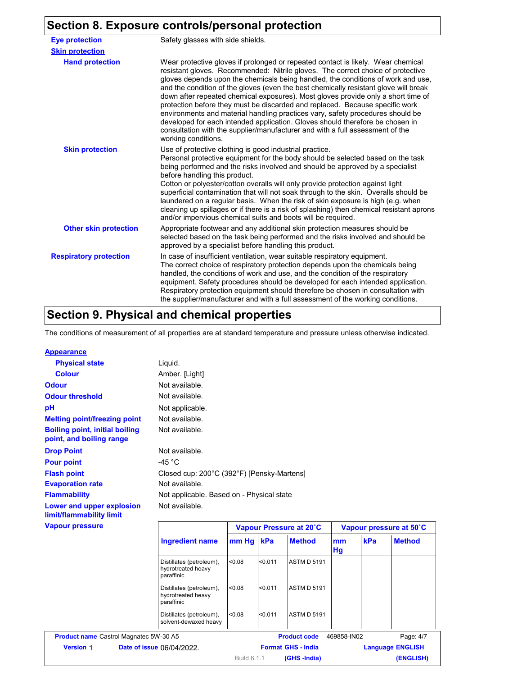# **Section 8. Exposure controls/personal protection**

| <b>Eye protection</b>         | Safety glasses with side shields.                                                                                                                                                                                                                                                                                                                                                                                                                                                                                                                                                                                                                                                                                                                                                               |
|-------------------------------|-------------------------------------------------------------------------------------------------------------------------------------------------------------------------------------------------------------------------------------------------------------------------------------------------------------------------------------------------------------------------------------------------------------------------------------------------------------------------------------------------------------------------------------------------------------------------------------------------------------------------------------------------------------------------------------------------------------------------------------------------------------------------------------------------|
| <b>Skin protection</b>        |                                                                                                                                                                                                                                                                                                                                                                                                                                                                                                                                                                                                                                                                                                                                                                                                 |
| <b>Hand protection</b>        | Wear protective gloves if prolonged or repeated contact is likely. Wear chemical<br>resistant gloves. Recommended: Nitrile gloves. The correct choice of protective<br>gloves depends upon the chemicals being handled, the conditions of work and use,<br>and the condition of the gloves (even the best chemically resistant glove will break<br>down after repeated chemical exposures). Most gloves provide only a short time of<br>protection before they must be discarded and replaced. Because specific work<br>environments and material handling practices vary, safety procedures should be<br>developed for each intended application. Gloves should therefore be chosen in<br>consultation with the supplier/manufacturer and with a full assessment of the<br>working conditions. |
| <b>Skin protection</b>        | Use of protective clothing is good industrial practice.<br>Personal protective equipment for the body should be selected based on the task<br>being performed and the risks involved and should be approved by a specialist<br>before handling this product.<br>Cotton or polyester/cotton overalls will only provide protection against light<br>superficial contamination that will not soak through to the skin. Overalls should be<br>laundered on a regular basis. When the risk of skin exposure is high (e.g. when<br>cleaning up spillages or if there is a risk of splashing) then chemical resistant aprons<br>and/or impervious chemical suits and boots will be required.                                                                                                           |
| <b>Other skin protection</b>  | Appropriate footwear and any additional skin protection measures should be<br>selected based on the task being performed and the risks involved and should be<br>approved by a specialist before handling this product.                                                                                                                                                                                                                                                                                                                                                                                                                                                                                                                                                                         |
| <b>Respiratory protection</b> | In case of insufficient ventilation, wear suitable respiratory equipment.<br>The correct choice of respiratory protection depends upon the chemicals being<br>handled, the conditions of work and use, and the condition of the respiratory<br>equipment. Safety procedures should be developed for each intended application.<br>Respiratory protection equipment should therefore be chosen in consultation with<br>the supplier/manufacturer and with a full assessment of the working conditions.                                                                                                                                                                                                                                                                                           |

# **Section 9. Physical and chemical properties**

The conditions of measurement of all properties are at standard temperature and pressure unless otherwise indicated.

| <b>Appearance</b>                                                 |                                           |                                            |
|-------------------------------------------------------------------|-------------------------------------------|--------------------------------------------|
| <b>Physical state</b>                                             | Liquid.                                   |                                            |
| <b>Colour</b>                                                     | Amber. [Light]                            |                                            |
| <b>Odour</b>                                                      | Not available.                            |                                            |
| <b>Odour threshold</b>                                            | Not available.                            |                                            |
| рH                                                                | Not applicable.                           |                                            |
| <b>Melting point/freezing point</b>                               | Not available.                            |                                            |
| <b>Boiling point, initial boiling</b><br>point, and boiling range | Not available.                            |                                            |
| <b>Drop Point</b>                                                 | Not available.                            |                                            |
| <b>Pour point</b>                                                 | -45 $^{\circ}$ C                          |                                            |
| <b>Flash point</b>                                                |                                           | Closed cup: 200°C (392°F) [Pensky-Martens] |
| <b>Evaporation rate</b>                                           | Not available.                            |                                            |
| <b>Flammability</b>                                               | Not applicable. Based on - Physical state |                                            |
| Lower and upper explosion<br>limit/flammability limit             | Not available.                            |                                            |
| <b>Vapour pressure</b>                                            |                                           | Vapour Pressure at 20°C                    |

| <b>Vapour pressure</b>                        |                                                              |                                                              | Vapour Pressure at 20°C |                    |                           | Vapour pressure at 50°C |               |                         |
|-----------------------------------------------|--------------------------------------------------------------|--------------------------------------------------------------|-------------------------|--------------------|---------------------------|-------------------------|---------------|-------------------------|
|                                               | <b>Ingredient name</b>                                       | mm Hg kPa                                                    |                         | <b>Method</b>      | mm<br>Hg                  | kPa                     | <b>Method</b> |                         |
|                                               | Distillates (petroleum),<br>hydrotreated heavy<br>paraffinic | 0.08                                                         | < 0.011                 | <b>ASTM D 5191</b> |                           |                         |               |                         |
|                                               |                                                              | Distillates (petroleum),<br>hydrotreated heavy<br>paraffinic | < 0.08                  | < 0.011            | <b>ASTM D 5191</b>        |                         |               |                         |
|                                               | Distillates (petroleum),<br>solvent-dewaxed heavy            | 0.08                                                         | < 0.011                 | <b>ASTM D 5191</b> |                           |                         |               |                         |
| <b>Product name Castrol Magnatec 5W-30 A5</b> |                                                              |                                                              |                         |                    | <b>Product code</b>       | 469858-IN02             |               | Page: 4/7               |
| <b>Version 1</b>                              |                                                              | Date of issue 06/04/2022.                                    |                         |                    | <b>Format GHS - India</b> |                         |               | <b>Language ENGLISH</b> |
|                                               |                                                              |                                                              | Build 6.1.1             |                    | (GHS-India)               |                         |               | (ENGLISH)               |
|                                               |                                                              |                                                              |                         |                    |                           |                         |               |                         |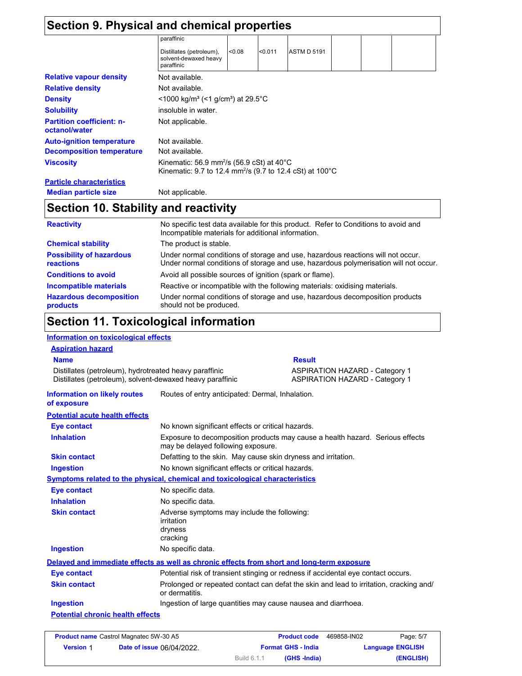| Section 10. Stability and reactivity                            |            |         |                                                              |                                                                                                                 |                                                                                 |  |  |
|-----------------------------------------------------------------|------------|---------|--------------------------------------------------------------|-----------------------------------------------------------------------------------------------------------------|---------------------------------------------------------------------------------|--|--|
| Not applicable.                                                 |            |         |                                                              |                                                                                                                 |                                                                                 |  |  |
|                                                                 |            |         |                                                              |                                                                                                                 |                                                                                 |  |  |
|                                                                 |            |         |                                                              |                                                                                                                 |                                                                                 |  |  |
| Not available.                                                  |            |         |                                                              |                                                                                                                 |                                                                                 |  |  |
| Not available.                                                  |            |         |                                                              |                                                                                                                 |                                                                                 |  |  |
| Not applicable.                                                 |            |         |                                                              |                                                                                                                 |                                                                                 |  |  |
| insoluble in water.                                             |            |         |                                                              |                                                                                                                 |                                                                                 |  |  |
|                                                                 |            |         |                                                              |                                                                                                                 |                                                                                 |  |  |
| Not available.                                                  |            |         |                                                              |                                                                                                                 |                                                                                 |  |  |
| Not available.                                                  |            |         |                                                              |                                                                                                                 |                                                                                 |  |  |
| Distillates (petroleum),<br>solvent-dewaxed heavy<br>paraffinic | < 0.08     | < 0.011 | <b>ASTM D 5191</b>                                           |                                                                                                                 |                                                                                 |  |  |
|                                                                 |            |         |                                                              |                                                                                                                 |                                                                                 |  |  |
|                                                                 | paraffinic |         | $<$ 1000 kg/m <sup>3</sup> (<1 g/cm <sup>3</sup> ) at 29.5°C | Section 9. Physical and chemical properties<br>Kinematic: 56.9 mm <sup>2</sup> /s (56.9 cSt) at 40 $^{\circ}$ C | Kinematic: 9.7 to 12.4 mm <sup>2</sup> /s (9.7 to 12.4 cSt) at 100 $^{\circ}$ C |  |  |

| <b>Reactivity</b>                            | No specific test data available for this product. Refer to Conditions to avoid and<br>Incompatible materials for additional information.                                |  |  |  |
|----------------------------------------------|-------------------------------------------------------------------------------------------------------------------------------------------------------------------------|--|--|--|
| <b>Chemical stability</b>                    | The product is stable.                                                                                                                                                  |  |  |  |
| <b>Possibility of hazardous</b><br>reactions | Under normal conditions of storage and use, hazardous reactions will not occur.<br>Under normal conditions of storage and use, hazardous polymerisation will not occur. |  |  |  |
| <b>Conditions to avoid</b>                   | Avoid all possible sources of ignition (spark or flame).                                                                                                                |  |  |  |
| <b>Incompatible materials</b>                | Reactive or incompatible with the following materials: oxidising materials.                                                                                             |  |  |  |
| <b>Hazardous decomposition</b><br>products   | Under normal conditions of storage and use, hazardous decomposition products<br>should not be produced.                                                                 |  |  |  |

# **Section 11. Toxicological information**

### **Information on toxicological effects**

| <b>Aspiration hazard</b>                                                                                            |                                                                                                          |                                                                                   |  |  |
|---------------------------------------------------------------------------------------------------------------------|----------------------------------------------------------------------------------------------------------|-----------------------------------------------------------------------------------|--|--|
| <b>Name</b>                                                                                                         |                                                                                                          | <b>Result</b>                                                                     |  |  |
| Distillates (petroleum), hydrotreated heavy paraffinic<br>Distillates (petroleum), solvent-dewaxed heavy paraffinic |                                                                                                          | <b>ASPIRATION HAZARD - Category 1</b><br><b>ASPIRATION HAZARD - Category 1</b>    |  |  |
| <b>Information on likely routes</b><br>of exposure                                                                  | Routes of entry anticipated: Dermal, Inhalation.                                                         |                                                                                   |  |  |
| <b>Potential acute health effects</b>                                                                               |                                                                                                          |                                                                                   |  |  |
| <b>Eye contact</b>                                                                                                  | No known significant effects or critical hazards.                                                        |                                                                                   |  |  |
| <b>Inhalation</b>                                                                                                   | may be delayed following exposure.                                                                       | Exposure to decomposition products may cause a health hazard. Serious effects     |  |  |
| <b>Skin contact</b>                                                                                                 | Defatting to the skin. May cause skin dryness and irritation.                                            |                                                                                   |  |  |
| <b>Ingestion</b>                                                                                                    | No known significant effects or critical hazards.                                                        |                                                                                   |  |  |
|                                                                                                                     | Symptoms related to the physical, chemical and toxicological characteristics                             |                                                                                   |  |  |
| Eye contact                                                                                                         | No specific data.                                                                                        |                                                                                   |  |  |
| <b>Inhalation</b>                                                                                                   | No specific data.                                                                                        |                                                                                   |  |  |
| <b>Skin contact</b>                                                                                                 | Adverse symptoms may include the following:<br>irritation<br>dryness<br>cracking                         |                                                                                   |  |  |
| <b>Ingestion</b>                                                                                                    | No specific data.                                                                                        |                                                                                   |  |  |
|                                                                                                                     | Delayed and immediate effects as well as chronic effects from short and long-term exposure               |                                                                                   |  |  |
| <b>Eye contact</b>                                                                                                  |                                                                                                          | Potential risk of transient stinging or redness if accidental eye contact occurs. |  |  |
| <b>Skin contact</b>                                                                                                 | Prolonged or repeated contact can defat the skin and lead to irritation, cracking and/<br>or dermatitis. |                                                                                   |  |  |
| <b>Ingestion</b>                                                                                                    | Ingestion of large quantities may cause nausea and diarrhoea.                                            |                                                                                   |  |  |
| <b>Potential chronic health effects</b>                                                                             |                                                                                                          |                                                                                   |  |  |
|                                                                                                                     |                                                                                                          |                                                                                   |  |  |

| <b>Product name</b> Castrol Magnatec 5W-30 A5 |                                  |                           | <b>Product code</b> | 469858-IN02 | Page: 5/7               |
|-----------------------------------------------|----------------------------------|---------------------------|---------------------|-------------|-------------------------|
| <b>Version 1</b>                              | <b>Date of issue 06/04/2022.</b> | <b>Format GHS - India</b> |                     |             | <b>Language ENGLISH</b> |
|                                               |                                  | Build 6.1.1               | (GHS -India)        |             | (ENGLISH)               |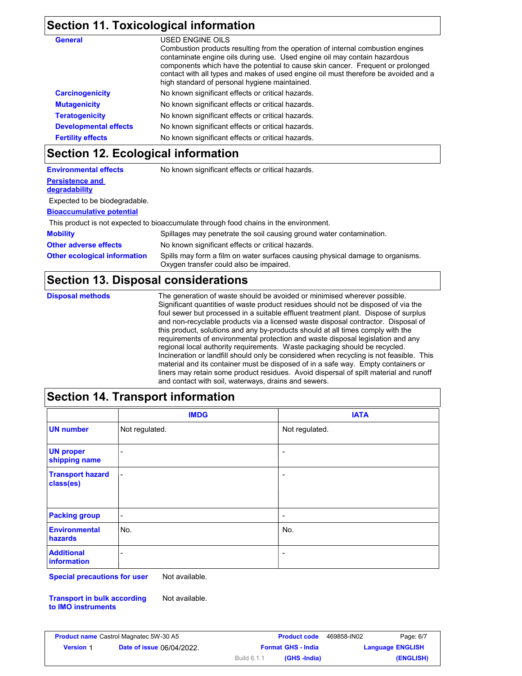## **Section 11. Toxicological information**

| <b>General</b>               | USED ENGINE OILS                                                                                                                                                                                                                                                                                                                                                                        |
|------------------------------|-----------------------------------------------------------------------------------------------------------------------------------------------------------------------------------------------------------------------------------------------------------------------------------------------------------------------------------------------------------------------------------------|
|                              | Combustion products resulting from the operation of internal combustion engines<br>contaminate engine oils during use. Used engine oil may contain hazardous<br>components which have the potential to cause skin cancer. Frequent or prolonged<br>contact with all types and makes of used engine oil must therefore be avoided and a<br>high standard of personal hygiene maintained. |
| <b>Carcinogenicity</b>       | No known significant effects or critical hazards.                                                                                                                                                                                                                                                                                                                                       |
| <b>Mutagenicity</b>          | No known significant effects or critical hazards.                                                                                                                                                                                                                                                                                                                                       |
| <b>Teratogenicity</b>        | No known significant effects or critical hazards.                                                                                                                                                                                                                                                                                                                                       |
| <b>Developmental effects</b> | No known significant effects or critical hazards.                                                                                                                                                                                                                                                                                                                                       |
| <b>Fertility effects</b>     | No known significant effects or critical hazards.                                                                                                                                                                                                                                                                                                                                       |

## **Section 12. Ecological information**

| <b>Environmental effects</b>        | No known significant effects or critical hazards.                                                                         |
|-------------------------------------|---------------------------------------------------------------------------------------------------------------------------|
| <b>Persistence and</b>              |                                                                                                                           |
| degradability                       |                                                                                                                           |
| Expected to be biodegradable.       |                                                                                                                           |
| <b>Bioaccumulative potential</b>    |                                                                                                                           |
|                                     | This product is not expected to bioaccumulate through food chains in the environment.                                     |
| <b>Mobility</b>                     | Spillages may penetrate the soil causing ground water contamination.                                                      |
| <b>Other adverse effects</b>        | No known significant effects or critical hazards.                                                                         |
| <b>Other ecological information</b> | Spills may form a film on water surfaces causing physical damage to organisms.<br>Oxygen transfer could also be impaired. |

## **Section 13. Disposal considerations**

**Disposal methods** The generation of waste should be avoided or minimised wherever possible. Significant quantities of waste product residues should not be disposed of via the foul sewer but processed in a suitable effluent treatment plant. Dispose of surplus and non-recyclable products via a licensed waste disposal contractor. Disposal of this product, solutions and any by-products should at all times comply with the requirements of environmental protection and waste disposal legislation and any regional local authority requirements. Waste packaging should be recycled. Incineration or landfill should only be considered when recycling is not feasible. This material and its container must be disposed of in a safe way. Empty containers or liners may retain some product residues. Avoid dispersal of spilt material and runoff and contact with soil, waterways, drains and sewers.

## **Section 14. Transport information**

|                                      | <b>IMDG</b>              | <b>IATA</b>              |
|--------------------------------------|--------------------------|--------------------------|
| <b>UN number</b>                     | Not regulated.           | Not regulated.           |
| <b>UN proper</b><br>shipping name    | -                        | $\overline{\phantom{a}}$ |
| <b>Transport hazard</b><br>class(es) | $\overline{\phantom{a}}$ | $\overline{\phantom{a}}$ |
| <b>Packing group</b>                 | $\overline{\phantom{a}}$ | $\overline{\phantom{a}}$ |
| <b>Environmental</b><br>hazards      | No.                      | No.                      |
| <b>Additional</b><br>information     | -                        | -                        |

**Special precautions for user** Not available.

**Transport in bulk according to IMO instruments** Not available.

| <b>Product name</b> Castrol Magnatec 5W-30 A5 |                                  |                           | <b>Product code</b> | 469858-IN02 | Page: 6/7               |
|-----------------------------------------------|----------------------------------|---------------------------|---------------------|-------------|-------------------------|
| <b>Version 1</b>                              | <b>Date of issue 06/04/2022.</b> | <b>Format GHS - India</b> |                     |             | <b>Language ENGLISH</b> |
|                                               |                                  | Build 6.1.1               | (GHS -India)        |             | (ENGLISH)               |